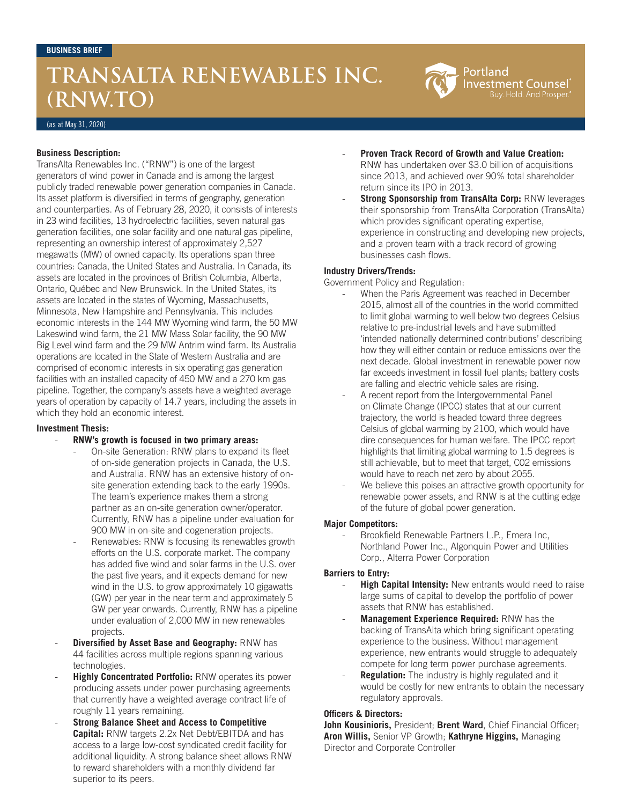# **TRANSALTA RENEWABLES INC. (RNW.TO)**

Portland Investment Counsel Buy. Hold. And Prosper.'

(as at May 31, 2020)

#### **Business Description:**

TransAlta Renewables Inc. ("RNW") is one of the largest generators of wind power in Canada and is among the largest publicly traded renewable power generation companies in Canada. Its asset platform is diversified in terms of geography, generation and counterparties. As of February 28, 2020, it consists of interests in 23 wind facilities, 13 hydroelectric facilities, seven natural gas generation facilities, one solar facility and one natural gas pipeline, representing an ownership interest of approximately 2,527 megawatts (MW) of owned capacity. Its operations span three countries: Canada, the United States and Australia. In Canada, its assets are located in the provinces of British Columbia, Alberta, Ontario, Québec and New Brunswick. In the United States, its assets are located in the states of Wyoming, Massachusetts, Minnesota, New Hampshire and Pennsylvania. This includes economic interests in the 144 MW Wyoming wind farm, the 50 MW Lakeswind wind farm, the 21 MW Mass Solar facility, the 90 MW Big Level wind farm and the 29 MW Antrim wind farm. Its Australia operations are located in the State of Western Australia and are comprised of economic interests in six operating gas generation facilities with an installed capacity of 450 MW and a 270 km gas pipeline. Together, the company's assets have a weighted average years of operation by capacity of 14.7 years, including the assets in which they hold an economic interest.

#### **Investment Thesis:**

- **RNW's growth is focused in two primary areas:**
	- On-site Generation: RNW plans to expand its fleet of on-side generation projects in Canada, the U.S. and Australia. RNW has an extensive history of onsite generation extending back to the early 1990s. The team's experience makes them a strong partner as an on-site generation owner/operator. Currently, RNW has a pipeline under evaluation for 900 MW in on-site and cogeneration projects.
	- Renewables: RNW is focusing its renewables growth efforts on the U.S. corporate market. The company has added five wind and solar farms in the U.S. over the past five years, and it expects demand for new wind in the U.S. to grow approximately 10 gigawatts (GW) per year in the near term and approximately 5 GW per year onwards. Currently, RNW has a pipeline under evaluation of 2,000 MW in new renewables projects.
- **Diversified by Asset Base and Geography: RNW has** 44 facilities across multiple regions spanning various technologies.
- **Highly Concentrated Portfolio:** RNW operates its power producing assets under power purchasing agreements that currently have a weighted average contract life of roughly 11 years remaining.
- **Strong Balance Sheet and Access to Competitive Capital:** RNW targets 2.2x Net Debt/EBITDA and has access to a large low-cost syndicated credit facility for additional liquidity. A strong balance sheet allows RNW to reward shareholders with a monthly dividend far superior to its peers.
- **Proven Track Record of Growth and Value Creation:**  RNW has undertaken over \$3.0 billion of acquisitions since 2013, and achieved over 90% total shareholder return since its IPO in 2013.
- **Strong Sponsorship from TransAlta Corp: RNW leverages** their sponsorship from TransAlta Corporation (TransAlta) which provides significant operating expertise, experience in constructing and developing new projects, and a proven team with a track record of growing businesses cash flows.

### **Industry Drivers/Trends:**

Government Policy and Regulation:

- When the Paris Agreement was reached in December 2015, almost all of the countries in the world committed to limit global warming to well below two degrees Celsius relative to pre-industrial levels and have submitted 'intended nationally determined contributions' describing how they will either contain or reduce emissions over the next decade. Global investment in renewable power now far exceeds investment in fossil fuel plants; battery costs are falling and electric vehicle sales are rising.
- A recent report from the Intergovernmental Panel on Climate Change (IPCC) states that at our current trajectory, the world is headed toward three degrees Celsius of global warming by 2100, which would have dire consequences for human welfare. The IPCC report highlights that limiting global warming to 1.5 degrees is still achievable, but to meet that target, C02 emissions would have to reach net zero by about 2055.
- We believe this poises an attractive growth opportunity for renewable power assets, and RNW is at the cutting edge of the future of global power generation.

#### **Major Competitors:**

Brookfield Renewable Partners L.P., Emera Inc, Northland Power Inc., Algonquin Power and Utilities Corp., Alterra Power Corporation

#### **Barriers to Entry:**

- **High Capital Intensity:** New entrants would need to raise large sums of capital to develop the portfolio of power assets that RNW has established.
- **Management Experience Required: RNW has the** backing of TransAlta which bring significant operating experience to the business. Without management experience, new entrants would struggle to adequately compete for long term power purchase agreements.
- **Regulation:** The industry is highly regulated and it would be costly for new entrants to obtain the necessary regulatory approvals.

#### **Officers & Directors:**

**John Kousinioris,** President; **Brent Ward**, Chief Financial Officer; **Aron Willis,** Senior VP Growth; **Kathryne Higgins,** Managing Director and Corporate Controller